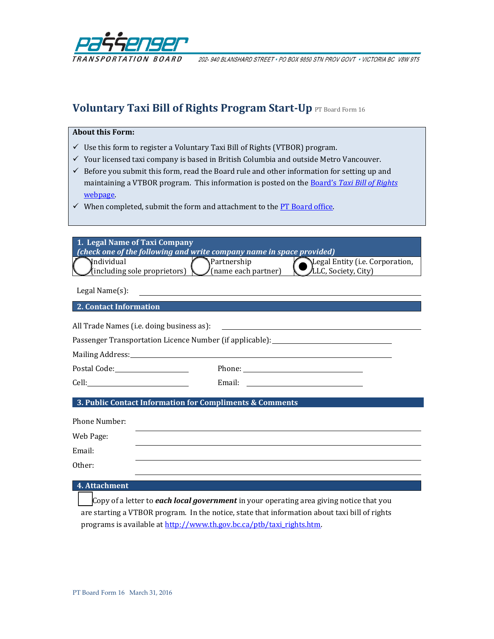

202-940 BLANSHARD STREET . PO BOX 9850 STN PROV GOVT . VICTORIA BC V8W 9T5

# **Voluntary Taxi Bill of Rights Program Start-Up** PT Board Form 16

#### **About this Form:**

- $\checkmark$  Use this form to register a Voluntary Taxi Bill of Rights (VTBOR) program.
- $\checkmark$  Your licensed taxi company is based in British Columbia and outside Metro Vancouver.
- $\checkmark$  Before you submit this form, read the Board rule and other information for setting up and maintaining a VTBOR program. This information is posted on the Board's *[Taxi Bill of Rights](http://www.th.gov.bc.ca/ptb/taxi_rights.htm)* [webpage.](http://www.th.gov.bc.ca/ptb/taxi_rights.htm)
- $\checkmark$  When completed, submit the form and attachment to th[e PT Board office.](http://www.th.gov.bc.ca/ptb/contact_us.htm)

| 1. Legal Name of Taxi Company<br><i>(check one of the following and write company name in space provided)</i> |                                     |                                 |  |  |
|---------------------------------------------------------------------------------------------------------------|-------------------------------------|---------------------------------|--|--|
| Nndividual                                                                                                    | <b>Partnership</b>                  | Legal Entity (i.e. Corporation, |  |  |
| /(including sole proprietors) $\setminus$                                                                     | $\sqrt{\text{(name each partner)}}$ | LLC, Society, City)             |  |  |

Legal Name(s):

## **2. Contact Information**

All Trade Names (i.e. doing business as):

Passenger Transportation Licence Number (if applicable): \_\_\_\_\_\_\_\_\_\_\_\_\_\_\_\_\_\_\_\_\_\_\_

Mailing Address:

Postal Code: Phone: Phone:

Cell: Email: Email:

## **3. Public Contact Information for Compliments & Comments**

| Phone Number: |  |
|---------------|--|
| Web Page:     |  |
| Email:        |  |
| Other:        |  |

#### **4. Attachment**

Copy of a letter to *each local government* in your operating area giving notice that you are starting a VTBOR program. In the notice, state that information about taxi bill of rights programs is available a[t http://www.th.gov.bc.ca/ptb/taxi\\_rights.htm.](http://www.th.gov.bc.ca/ptb/taxi_rights.htm)